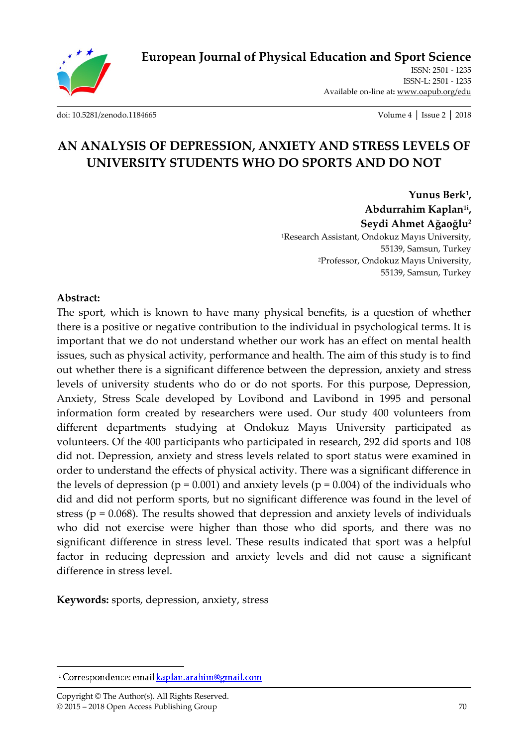

**European Journal of Physical Education and Sport Science**

ISSN: 2501 - 1235 ISSN-L: 2501 - 1235 Available on-line at**:** www.oapub.org/edu

[doi: 10.5281/zenodo.1184665](http://dx.doi.org/10.5281/zenodo.1184665) Volume 4 │ Issue 2 │ 2018

# **AN ANALYSIS OF DEPRESSION, ANXIETY AND STRESS LEVELS OF UNIVERSITY STUDENTS WHO DO SPORTS AND DO NOT**

**Yunus Berk<sup>1</sup> , Abdurrahim Kaplan1i , Seydi Ahmet Ağaoğlu<sup>2</sup>** <sup>1</sup>Research Assistant, Ondokuz Mayıs University, 55139, Samsun, Turkey <sup>2</sup>Professor, Ondokuz Mayıs University, 55139, Samsun, Turkey

### **Abstract:**

The sport, which is known to have many physical benefits, is a question of whether there is a positive or negative contribution to the individual in psychological terms. It is important that we do not understand whether our work has an effect on mental health issues, such as physical activity, performance and health. The aim of this study is to find out whether there is a significant difference between the depression, anxiety and stress levels of university students who do or do not sports. For this purpose, Depression, Anxiety, Stress Scale developed by Lovibond and Lavibond in 1995 and personal information form created by researchers were used. Our study 400 volunteers from different departments studying at Ondokuz Mayıs University participated as volunteers. Of the 400 participants who participated in research, 292 did sports and 108 did not. Depression, anxiety and stress levels related to sport status were examined in order to understand the effects of physical activity. There was a significant difference in the levels of depression ( $p = 0.001$ ) and anxiety levels ( $p = 0.004$ ) of the individuals who did and did not perform sports, but no significant difference was found in the level of stress ( $p = 0.068$ ). The results showed that depression and anxiety levels of individuals who did not exercise were higher than those who did sports, and there was no significant difference in stress level. These results indicated that sport was a helpful factor in reducing depression and anxiety levels and did not cause a significant difference in stress level.

**Keywords:** sports, depression, anxiety, stress

 $\overline{a}$ 

<sup>&</sup>lt;sup>i</sup> Correspondence: email kaplan.arahim@gmail.com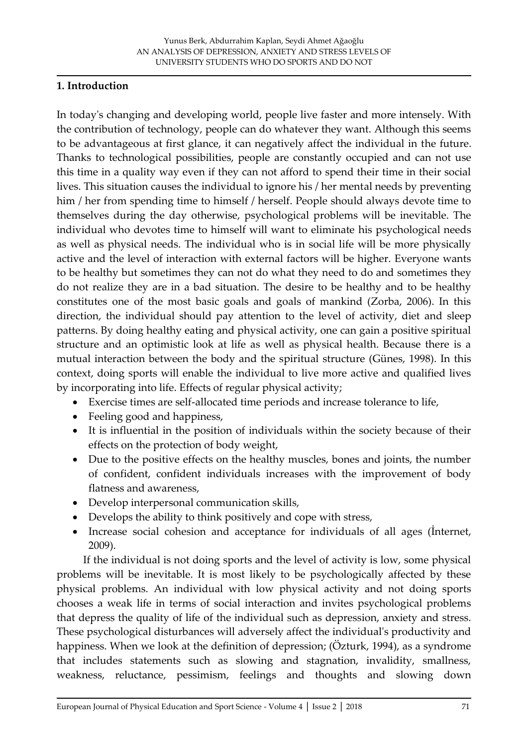## **1. Introduction**

In today's changing and developing world, people live faster and more intensely. With the contribution of technology, people can do whatever they want. Although this seems to be advantageous at first glance, it can negatively affect the individual in the future. Thanks to technological possibilities, people are constantly occupied and can not use this time in a quality way even if they can not afford to spend their time in their social lives. This situation causes the individual to ignore his / her mental needs by preventing him / her from spending time to himself / herself. People should always devote time to themselves during the day otherwise, psychological problems will be inevitable. The individual who devotes time to himself will want to eliminate his psychological needs as well as physical needs. The individual who is in social life will be more physically active and the level of interaction with external factors will be higher. Everyone wants to be healthy but sometimes they can not do what they need to do and sometimes they do not realize they are in a bad situation. The desire to be healthy and to be healthy constitutes one of the most basic goals and goals of mankind (Zorba, 2006). In this direction, the individual should pay attention to the level of activity, diet and sleep patterns. By doing healthy eating and physical activity, one can gain a positive spiritual structure and an optimistic look at life as well as physical health. Because there is a mutual interaction between the body and the spiritual structure (Günes, 1998). In this context, doing sports will enable the individual to live more active and qualified lives by incorporating into life. Effects of regular physical activity;

- Exercise times are self-allocated time periods and increase tolerance to life,
- Feeling good and happiness,
- It is influential in the position of individuals within the society because of their effects on the protection of body weight,
- Due to the positive effects on the healthy muscles, bones and joints, the number of confident, confident individuals increases with the improvement of body flatness and awareness,
- Develop interpersonal communication skills,
- Develops the ability to think positively and cope with stress,
- Increase social cohesion and acceptance for individuals of all ages (İnternet, 2009).

 If the individual is not doing sports and the level of activity is low, some physical problems will be inevitable. It is most likely to be psychologically affected by these physical problems. An individual with low physical activity and not doing sports chooses a weak life in terms of social interaction and invites psychological problems that depress the quality of life of the individual such as depression, anxiety and stress. These psychological disturbances will adversely affect the individual's productivity and happiness. When we look at the definition of depression; (Özturk, 1994), as a syndrome that includes statements such as slowing and stagnation, invalidity, smallness, weakness, reluctance, pessimism, feelings and thoughts and slowing down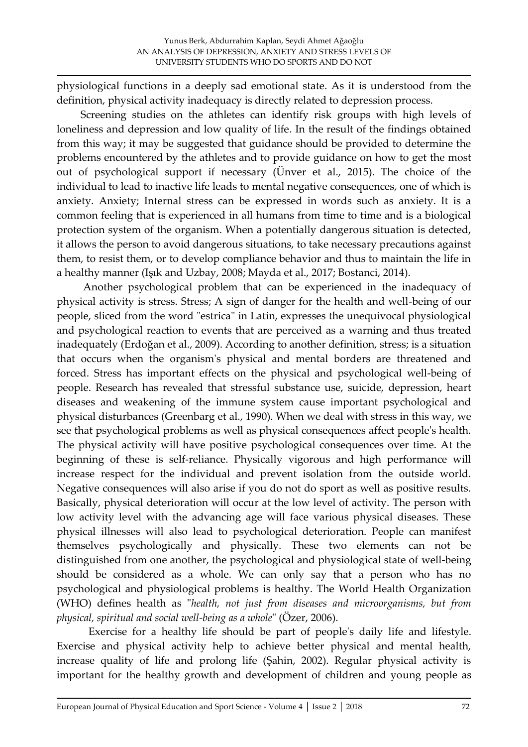physiological functions in a deeply sad emotional state. As it is understood from the definition, physical activity inadequacy is directly related to depression process.

 Screening studies on the athletes can identify risk groups with high levels of loneliness and depression and low quality of life. In the result of the findings obtained from this way; it may be suggested that guidance should be provided to determine the problems encountered by the athletes and to provide guidance on how to get the most out of psychological support if necessary (Ünver et al., 2015). The choice of the individual to lead to inactive life leads to mental negative consequences, one of which is anxiety. Anxiety; Internal stress can be expressed in words such as anxiety. It is a common feeling that is experienced in all humans from time to time and is a biological protection system of the organism. When a potentially dangerous situation is detected, it allows the person to avoid dangerous situations, to take necessary precautions against them, to resist them, or to develop compliance behavior and thus to maintain the life in a healthy manner (Işık and Uzbay, 2008; Mayda et al., 2017; Bostanci, 2014).

 Another psychological problem that can be experienced in the inadequacy of physical activity is stress. Stress; A sign of danger for the health and well-being of our people, sliced from the word "estrica" in Latin, expresses the unequivocal physiological and psychological reaction to events that are perceived as a warning and thus treated inadequately (Erdoğan et al., 2009). According to another definition, stress; is a situation that occurs when the organism's physical and mental borders are threatened and forced. Stress has important effects on the physical and psychological well-being of people. Research has revealed that stressful substance use, suicide, depression, heart diseases and weakening of the immune system cause important psychological and physical disturbances (Greenbarg et al., 1990). When we deal with stress in this way, we see that psychological problems as well as physical consequences affect people's health. The physical activity will have positive psychological consequences over time. At the beginning of these is self-reliance. Physically vigorous and high performance will increase respect for the individual and prevent isolation from the outside world. Negative consequences will also arise if you do not do sport as well as positive results. Basically, physical deterioration will occur at the low level of activity. The person with low activity level with the advancing age will face various physical diseases. These physical illnesses will also lead to psychological deterioration. People can manifest themselves psychologically and physically. These two elements can not be distinguished from one another, the psychological and physiological state of well-being should be considered as a whole. We can only say that a person who has no psychological and physiological problems is healthy. The World Health Organization (WHO) defines health as "*health, not just from diseases and microorganisms, but from physical, spiritual and social well-being as a whole*" (Özer, 2006).

Exercise for a healthy life should be part of people's daily life and lifestyle. Exercise and physical activity help to achieve better physical and mental health, increase quality of life and prolong life (Şahin, 2002). Regular physical activity is important for the healthy growth and development of children and young people as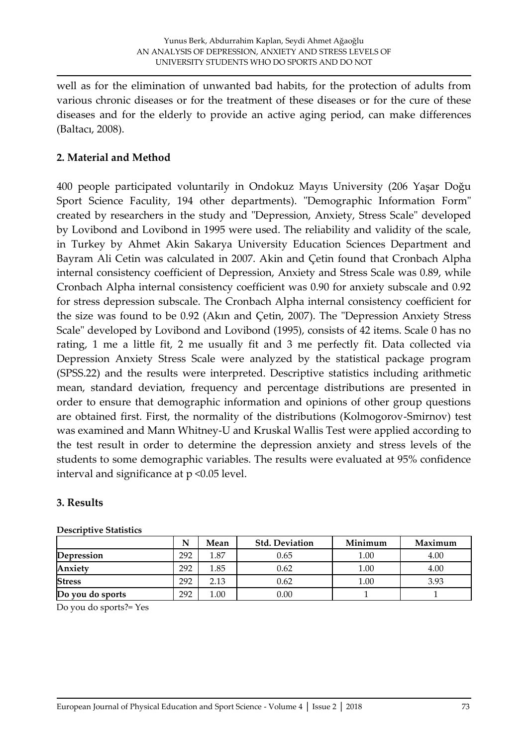well as for the elimination of unwanted bad habits, for the protection of adults from various chronic diseases or for the treatment of these diseases or for the cure of these diseases and for the elderly to provide an active aging period, can make differences (Baltacı, 2008).

### **2. Material and Method**

400 people participated voluntarily in Ondokuz Mayıs University (206 Yaşar Doğu Sport Science Faculity, 194 other departments). "Demographic Information Form" created by researchers in the study and "Depression, Anxiety, Stress Scale" developed by Lovibond and Lovibond in 1995 were used. The reliability and validity of the scale, in Turkey by Ahmet Akin Sakarya University Education Sciences Department and Bayram Ali Cetin was calculated in 2007. Akin and Çetin found that Cronbach Alpha internal consistency coefficient of Depression, Anxiety and Stress Scale was 0.89, while Cronbach Alpha internal consistency coefficient was 0.90 for anxiety subscale and 0.92 for stress depression subscale. The Cronbach Alpha internal consistency coefficient for the size was found to be 0.92 (Akın and Çetin, 2007). The "Depression Anxiety Stress Scale" developed by Lovibond and Lovibond (1995), consists of 42 items. Scale 0 has no rating, 1 me a little fit, 2 me usually fit and 3 me perfectly fit. Data collected via Depression Anxiety Stress Scale were analyzed by the statistical package program (SPSS.22) and the results were interpreted. Descriptive statistics including arithmetic mean, standard deviation, frequency and percentage distributions are presented in order to ensure that demographic information and opinions of other group questions are obtained first. First, the normality of the distributions (Kolmogorov-Smirnov) test was examined and Mann Whitney-U and Kruskal Wallis Test were applied according to the test result in order to determine the depression anxiety and stress levels of the students to some demographic variables. The results were evaluated at 95% confidence interval and significance at p <0.05 level.

### **3. Results**

|                  | N   | Mean | <b>Std. Deviation</b> | Minimum | Maximum |
|------------------|-----|------|-----------------------|---------|---------|
| Depression       | 292 | 1.87 | 0.65                  | 1.00    | 4.00    |
| Anxiety          | 292 | 1.85 | 0.62                  | 1.00    | 4.00    |
| <b>Stress</b>    | 292 | 2.13 | 0.62                  | 1.00    | 3.93    |
| Do you do sports | 292 | 1.00 | 0.00                  |         |         |

### **Descriptive Statistics**

Do you do sports?= Yes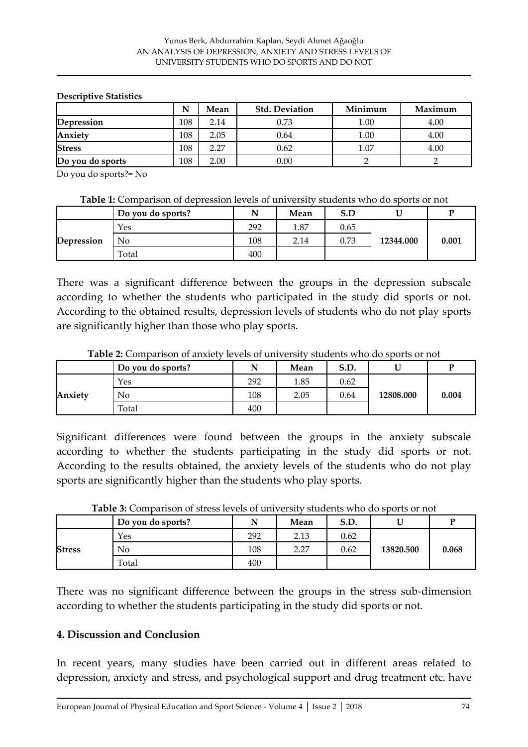#### **Descriptive Statistics**

|                  | N   | Mean | <b>Std. Deviation</b> | Minimum  | Maximum |
|------------------|-----|------|-----------------------|----------|---------|
| Depression       | 108 | 2.14 | 0.73                  | $1.00\,$ | 4.00    |
| Anxiety          | 108 | 2.05 | 0.64                  | $1.00\,$ | 4.00    |
| <b>Stress</b>    | 108 | 2.27 | 0.62                  | 1.07     | 4.00    |
| Do you do sports | 108 | 2.00 | 0.00                  |          |         |

Do you do sports?= No

| <b>Table 1:</b> Comparison of depression levels of university students who do sports or not |
|---------------------------------------------------------------------------------------------|
|---------------------------------------------------------------------------------------------|

|            | Do you do sports? | N   | Mean | S.D  |           |       |
|------------|-------------------|-----|------|------|-----------|-------|
| Depression | <b>Yes</b>        | 292 | 1.87 | 0.65 |           | 0.001 |
|            | No                | 108 | 2.14 | 0.73 | 12344.000 |       |
|            | Total             | 400 |      |      |           |       |

There was a significant difference between the groups in the depression subscale according to whether the students who participated in the study did sports or not. According to the obtained results, depression levels of students who do not play sports are significantly higher than those who play sports.

|         | Do you do sports? |     | Mean | S.D. |           |       |
|---------|-------------------|-----|------|------|-----------|-------|
| Anxiety | <b>Yes</b>        | 292 | 1.85 | 0.62 |           | 0.004 |
|         | No                | 108 | 2.05 | 0.64 | 12808.000 |       |
|         | Total             | 400 |      |      |           |       |

**Table 2:** Comparison of anxiety levels of university students who do sports or not

Significant differences were found between the groups in the anxiety subscale according to whether the students participating in the study did sports or not. According to the results obtained, the anxiety levels of the students who do not play sports are significantly higher than the students who play sports.

|               | Do you do sports? | N   | Mean       | S.D. |           | Ð     |
|---------------|-------------------|-----|------------|------|-----------|-------|
| <b>Stress</b> | Yes               | 292 | 2.13       | 0.62 |           | 0.068 |
|               | No                | 108 | C C<br>∠.∠ | 0.62 | 13820.500 |       |
|               | Total             | 400 |            |      |           |       |

**Table 3:** Comparison of stress levels of university students who do sports or not

There was no significant difference between the groups in the stress sub-dimension according to whether the students participating in the study did sports or not.

### **4. Discussion and Conclusion**

In recent years, many studies have been carried out in different areas related to depression, anxiety and stress, and psychological support and drug treatment etc. have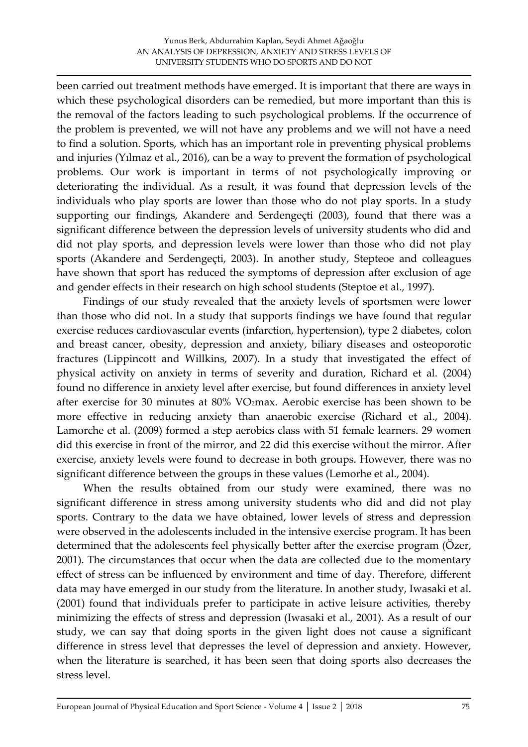been carried out treatment methods have emerged. It is important that there are ways in which these psychological disorders can be remedied, but more important than this is the removal of the factors leading to such psychological problems. If the occurrence of the problem is prevented, we will not have any problems and we will not have a need to find a solution. Sports, which has an important role in preventing physical problems and injuries (Yılmaz et al., 2016), can be a way to prevent the formation of psychological problems. Our work is important in terms of not psychologically improving or deteriorating the individual. As a result, it was found that depression levels of the individuals who play sports are lower than those who do not play sports. In a study supporting our findings, Akandere and Serdengeçti (2003), found that there was a significant difference between the depression levels of university students who did and did not play sports, and depression levels were lower than those who did not play sports (Akandere and Serdengeçti, 2003). In another study, Stepteoe and colleagues have shown that sport has reduced the symptoms of depression after exclusion of age and gender effects in their research on high school students (Steptoe et al., 1997).

 Findings of our study revealed that the anxiety levels of sportsmen were lower than those who did not. In a study that supports findings we have found that regular exercise reduces cardiovascular events (infarction, hypertension), type 2 diabetes, colon and breast cancer, obesity, depression and anxiety, biliary diseases and osteoporotic fractures (Lippincott and Willkins, 2007). In a study that investigated the effect of physical activity on anxiety in terms of severity and duration, Richard et al. (2004) found no difference in anxiety level after exercise, but found differences in anxiety level after exercise for 30 minutes at 80% VO2max. Aerobic exercise has been shown to be more effective in reducing anxiety than anaerobic exercise (Richard et al., 2004). Lamorche et al. (2009) formed a step aerobics class with 51 female learners. 29 women did this exercise in front of the mirror, and 22 did this exercise without the mirror. After exercise, anxiety levels were found to decrease in both groups. However, there was no significant difference between the groups in these values (Lemorhe et al., 2004).

 When the results obtained from our study were examined, there was no significant difference in stress among university students who did and did not play sports. Contrary to the data we have obtained, lower levels of stress and depression were observed in the adolescents included in the intensive exercise program. It has been determined that the adolescents feel physically better after the exercise program (Ozer, 2001). The circumstances that occur when the data are collected due to the momentary effect of stress can be influenced by environment and time of day. Therefore, different data may have emerged in our study from the literature. In another study, Iwasaki et al. (2001) found that individuals prefer to participate in active leisure activities, thereby minimizing the effects of stress and depression (Iwasaki et al., 2001). As a result of our study, we can say that doing sports in the given light does not cause a significant difference in stress level that depresses the level of depression and anxiety. However, when the literature is searched, it has been seen that doing sports also decreases the stress level.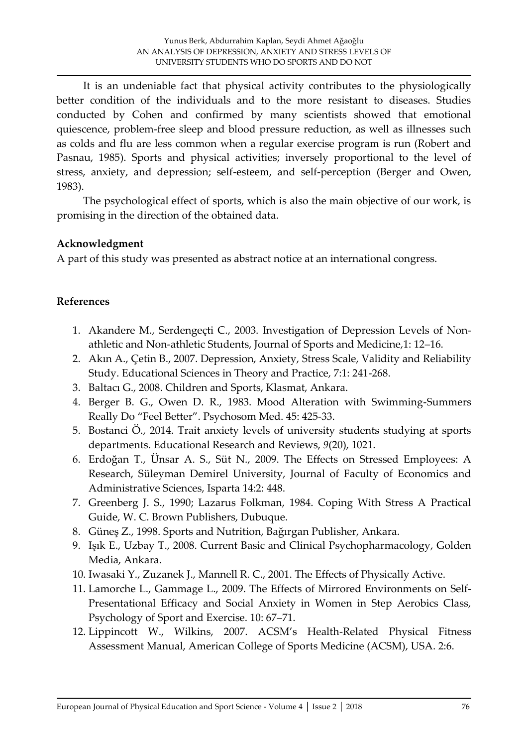It is an undeniable fact that physical activity contributes to the physiologically better condition of the individuals and to the more resistant to diseases. Studies conducted by Cohen and confirmed by many scientists showed that emotional quiescence, problem-free sleep and blood pressure reduction, as well as illnesses such as colds and flu are less common when a regular exercise program is run (Robert and Pasnau, 1985). Sports and physical activities; inversely proportional to the level of stress, anxiety, and depression; self-esteem, and self-perception (Berger and Owen, 1983).

 The psychological effect of sports, which is also the main objective of our work, is promising in the direction of the obtained data.

## **Acknowledgment**

A part of this study was presented as abstract notice at an international congress.

## **References**

- 1. Akandere M., Serdengeçti C., 2003. Investigation of Depression Levels of Nonathletic and Non-athletic Students, Journal of Sports and Medicine,1: 12–16.
- 2. Akın A., Çetin B., 2007. Depression, Anxiety, Stress Scale, Validity and Reliability Study. Educational Sciences in Theory and Practice, 7:1: 241-268.
- 3. Baltacı G., 2008. Children and Sports, Klasmat, Ankara.
- 4. Berger B. G., Owen D. R., 1983. Mood Alteration with Swimming-Summers Really Do "Feel Better". Psychosom Med. 45: 425-33.
- 5. Bostanci Ö., 2014. Trait anxiety levels of university students studying at sports departments. Educational Research and Reviews, *9*(20), 1021.
- 6. Erdoğan T., Ünsar A. S., Süt N., 2009. The Effects on Stressed Employees: A Research, Süleyman Demirel University, Journal of Faculty of Economics and Administrative Sciences, Isparta 14:2: 448.
- 7. Greenberg J. S., 1990; Lazarus Folkman, 1984. Coping With Stress A Practical Guide, W. C. Brown Publishers, Dubuque.
- 8. Güneş Z., 1998. Sports and Nutrition, Bağırgan Publisher, Ankara.
- 9. Işık E., Uzbay T., 2008. Current Basic and Clinical Psychopharmacology, Golden Media, Ankara.
- 10. Iwasaki Y., Zuzanek J., Mannell R. C., 2001. The Effects of Physically Active.
- 11. Lamorche L., Gammage L., 2009. The Effects of Mirrored Environments on Self-Presentational Efficacy and Social Anxiety in Women in Step Aerobics Class, Psychology of Sport and Exercise. 10: 67–71.
- 12. Lippincott W., Wilkins, 2007. ACSM's Health-Related Physical Fitness Assessment Manual, American College of Sports Medicine (ACSM), USA. 2:6.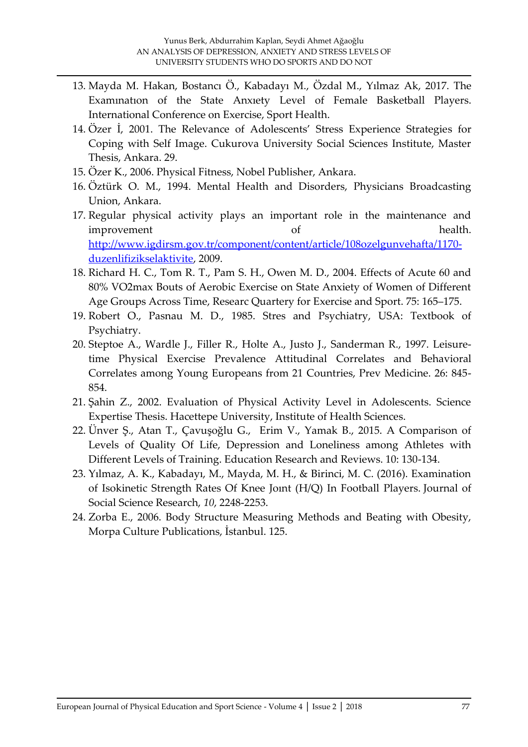- 13. Mayda M. Hakan, Bostancı Ö., Kabadayı M., Özdal M., Yılmaz Ak, 2017. The Examınatıon of the State Anxıety Level of Female Basketball Players. International Conference on Exercise, Sport Health.
- 14. Özer İ, 2001. The Relevance of Adolescents' Stress Experience Strategies for Coping with Self Image. Cukurova University Social Sciences Institute, Master Thesis, Ankara. 29.
- 15. Özer K., 2006. Physical Fitness, Nobel Publisher, Ankara.
- 16. Öztürk O. M., 1994. Mental Health and Disorders, Physicians Broadcasting Union, Ankara.
- 17. Regular physical activity plays an important role in the maintenance and improvement of health. [http://www.igdirsm.gov.tr/component/content/article/108ozelgunvehafta/1170](http://www.igdirsm.gov.tr/component/content/article/108ozelgunvehafta/1170-duzenlifizikselaktivite) [duzenlifizikselaktivite,](http://www.igdirsm.gov.tr/component/content/article/108ozelgunvehafta/1170-duzenlifizikselaktivite) 2009.
- 18. Richard H. C., Tom R. T., Pam S. H., Owen M. D., 2004. Effects of Acute 60 and 80% VO2max Bouts of Aerobic Exercise on State Anxiety of Women of Different Age Groups Across Time, Researc Quartery for Exercise and Sport. 75: 165–175.
- 19. Robert O., Pasnau M. D., 1985. Stres and Psychiatry, USA: Textbook of Psychiatry.
- 20. Steptoe A., Wardle J., Filler R., Holte A., Justo J., Sanderman R., 1997. Leisuretime Physical Exercise Prevalence Attitudinal Correlates and Behavioral Correlates among Young Europeans from 21 Countries, Prev Medicine. 26: 845- 854.
- 21. Şahin Z., 2002. Evaluation of Physical Activity Level in Adolescents. Science Expertise Thesis. Hacettepe University, Institute of Health Sciences.
- 22. Ünver Ş., Atan T., Çavuşoğlu G., Erim V., Yamak B., 2015. A Comparison of Levels of Quality Of Life, Depression and Loneliness among Athletes with Different Levels of Training. Education Research and Reviews. 10: 130-134.
- 23. Yılmaz, A. K., Kabadayı, M., Mayda, M. H., & Birinci, M. C. (2016). Examination of Isokinetic Strength Rates Of Knee Joınt (H/Q) In Football Players. Journal of Social Science Research, *10*, 2248-2253.
- 24. Zorba E., 2006. Body Structure Measuring Methods and Beating with Obesity, Morpa Culture Publications, İstanbul. 125.